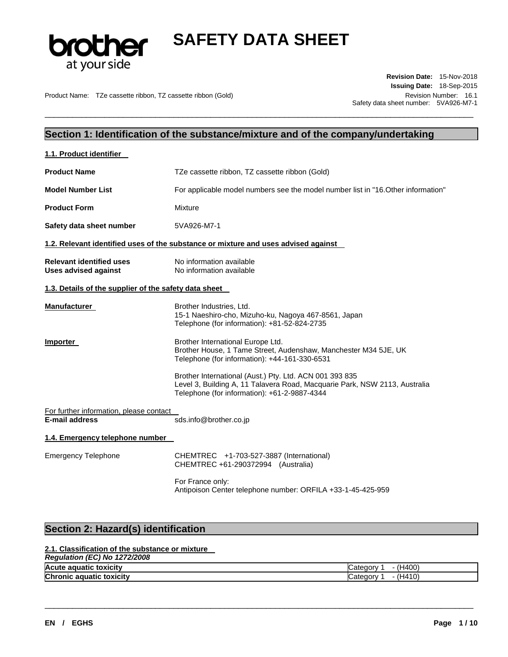

\_\_\_\_\_\_\_\_\_\_\_\_\_\_\_\_\_\_\_\_\_\_\_\_\_\_\_\_\_\_\_\_\_\_\_\_\_\_\_\_\_\_\_\_\_\_\_\_\_\_\_\_\_\_\_\_\_\_\_\_\_\_\_\_\_\_\_\_\_\_\_\_\_\_\_\_\_\_\_\_\_\_\_\_\_\_\_\_\_\_\_\_\_

Product Name: TZe cassette ribbon, TZ cassette ribbon (Gold) Revision Number: 16.1

**Revision Date:** 15-Nov-2018 **Issuing Date:** 18-Sep-2015 Safety data sheet number: 5VA926-M7-1

## **Section 1: Identification of the substance/mixture and of the company/undertaking**

| 1.1. Product identifier                                        |                                                                                                                                                                                       |
|----------------------------------------------------------------|---------------------------------------------------------------------------------------------------------------------------------------------------------------------------------------|
| <b>Product Name</b>                                            | TZe cassette ribbon, TZ cassette ribbon (Gold)                                                                                                                                        |
| <b>Model Number List</b>                                       | For applicable model numbers see the model number list in "16. Other information"                                                                                                     |
| <b>Product Form</b>                                            | Mixture                                                                                                                                                                               |
| Safety data sheet number                                       | 5VA926-M7-1                                                                                                                                                                           |
|                                                                | 1.2. Relevant identified uses of the substance or mixture and uses advised against                                                                                                    |
| <b>Relevant identified uses</b><br><b>Uses advised against</b> | No information available<br>No information available                                                                                                                                  |
| 1.3. Details of the supplier of the safety data sheet          |                                                                                                                                                                                       |
| <b>Manufacturer</b>                                            | Brother Industries, Ltd.<br>15-1 Naeshiro-cho, Mizuho-ku, Nagoya 467-8561, Japan<br>Telephone (for information): +81-52-824-2735                                                      |
| Importer                                                       | Brother International Europe Ltd.<br>Brother House, 1 Tame Street, Audenshaw, Manchester M34 5JE, UK<br>Telephone (for information): +44-161-330-6531                                 |
|                                                                | Brother International (Aust.) Pty. Ltd. ACN 001 393 835<br>Level 3, Building A, 11 Talavera Road, Macquarie Park, NSW 2113, Australia<br>Telephone (for information): +61-2-9887-4344 |
| For further information, please contact                        |                                                                                                                                                                                       |
| <b>E-mail address</b>                                          | sds.info@brother.co.jp                                                                                                                                                                |
| 1.4. Emergency telephone number                                |                                                                                                                                                                                       |
| <b>Emergency Telephone</b>                                     | CHEMTREC +1-703-527-3887 (International)<br>CHEMTREC +61-290372994 (Australia)                                                                                                        |
|                                                                | For France only:<br>Antipoison Center telephone number: ORFILA +33-1-45-425-959                                                                                                       |
|                                                                |                                                                                                                                                                                       |
| Section 2: Hazard(s) identification                            |                                                                                                                                                                                       |

## **2.1. Classification of the substance or mixture**

## *Regulation (EC) No 1272/2008*

| <b>Acute</b><br>toxicity<br>aauatio          | H400<br>$\prime$ $\prime$<br>$\sim$<br>.<br>лог |
|----------------------------------------------|-------------------------------------------------|
| <b>Chronic</b><br>toxicity<br>nuatic<br>. ar | $\sim$<br>$\sim$<br>лог                         |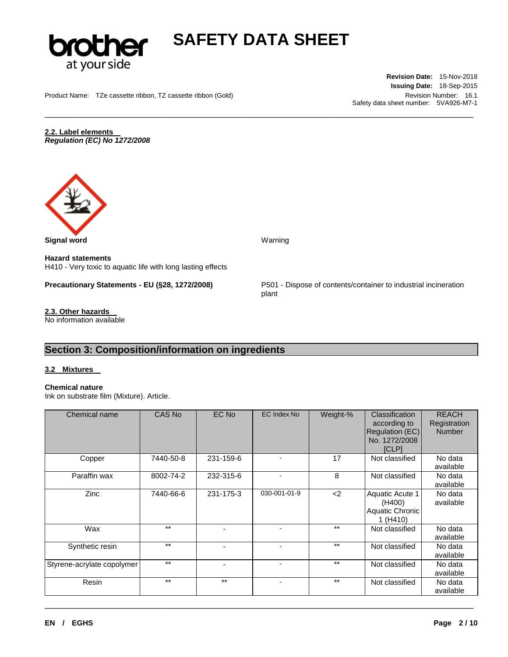

\_\_\_\_\_\_\_\_\_\_\_\_\_\_\_\_\_\_\_\_\_\_\_\_\_\_\_\_\_\_\_\_\_\_\_\_\_\_\_\_\_\_\_\_\_\_\_\_\_\_\_\_\_\_\_\_\_\_\_\_\_\_\_\_\_\_\_\_\_\_\_\_\_\_\_\_\_\_\_\_\_\_\_\_\_\_\_\_\_\_\_\_\_

Product Name: TZe cassette ribbon, TZ cassette ribbon (Gold) Revision Number: 16.1

**Revision Date:** 15-Nov-2018 **Issuing Date:** 18-Sep-2015 Safety data sheet number: 5VA926-M7-1

**2.2. Label elements**  *Regulation (EC) No 1272/2008* 



**Signal word** Warning

**Hazard statements** H410 - Very toxic to aquatic life with long lasting effects

**Precautionary Statements - EU (§28, 1272/2008)** P501 - Dispose of contents/container to industrial incineration

**2.3. Other hazards**  No information available plant

## **Section 3: Composition/information on ingredients**

### **3.2 Mixtures**

### **Chemical nature**

Ink on substrate film (Mixture). Article.

| Chemical name              | CAS No    | EC No                    | <b>EC Index No</b>       | Weight-% | <b>Classification</b><br>according to<br>Regulation (EC)<br>No. 1272/2008<br><b>ICLP1</b> | <b>REACH</b><br>Registration<br><b>Number</b> |
|----------------------------|-----------|--------------------------|--------------------------|----------|-------------------------------------------------------------------------------------------|-----------------------------------------------|
| Copper                     | 7440-50-8 | 231-159-6                |                          | 17       | Not classified                                                                            | No data<br>available                          |
| Paraffin wax               | 8002-74-2 | 232-315-6                | $\blacksquare$           | 8        | Not classified                                                                            | No data<br>available                          |
| Zinc                       | 7440-66-6 | 231-175-3                | 030-001-01-9             | $2$      | Aquatic Acute 1<br>(H400)<br>Aquatic Chronic<br>1 (H410)                                  | No data<br>available                          |
| Wax                        | $***$     |                          |                          | $***$    | Not classified                                                                            | No data<br>available                          |
| Synthetic resin            | $***$     | $\overline{\phantom{0}}$ | $\blacksquare$           | $***$    | Not classified                                                                            | No data<br>available                          |
| Styrene-acrylate copolymer | $***$     |                          |                          | $***$    | Not classified                                                                            | No data<br>available                          |
| Resin                      | $***$     | $***$                    | $\overline{\phantom{a}}$ | $***$    | Not classified                                                                            | No data<br>available                          |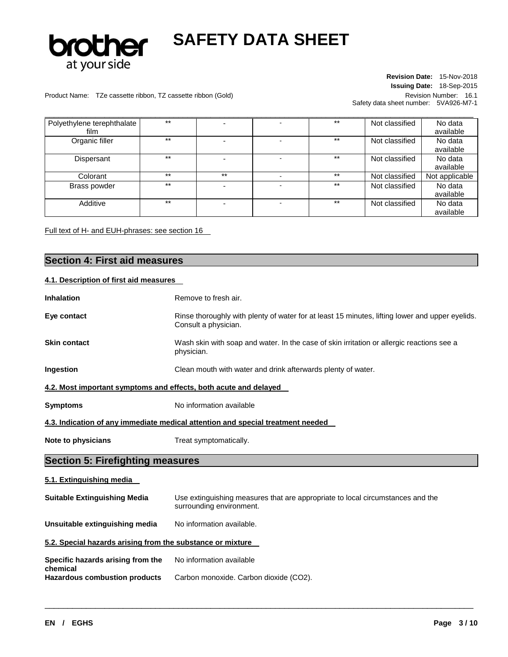

### Product Name: TZe cassette ribbon, TZ cassette ribbon (Gold) Revision Number: 16.1

**Revision Date:** 15-Nov-2018 **Issuing Date:** 18-Sep-2015 Safety data sheet number: 5VA926-M7-1

| Polyethylene terephthalate | $***$ |       | $***$ | Not classified | No data        |
|----------------------------|-------|-------|-------|----------------|----------------|
| film                       |       |       |       |                | available      |
| Organic filler             | $***$ |       | $***$ | Not classified | No data        |
|                            |       |       |       |                | available      |
| Dispersant                 | $***$ | -     | $***$ | Not classified | No data        |
|                            |       |       |       |                | available      |
| Colorant                   | $***$ | $***$ | $***$ | Not classified | Not applicable |
| Brass powder               | $***$ |       | $***$ | Not classified | No data        |
|                            |       |       |       |                | available      |
| Additive                   | $***$ |       | $***$ | Not classified | No data        |
|                            |       |       |       |                | available      |

Full text of H- and EUH-phrases: see section 16

## **Section 4: First aid measures 4.1. Description of first aid measures Inhalation Remove to fresh air. Eye contact Rinse thoroughly with plenty of water for at least 15 minutes, lifting lower and upper eyelids.** Consult a physician. **Skin contact** Wash skin with soap and water. In the case of skin irritation or allergic reactions see a physician. **Ingestion** Clean mouth with water and drink afterwards plenty of water. **4.2. Most important symptoms and effects, both acute and delayed**

**Symptoms** No information available

**4.3. Indication of any immediate medical attention and special treatment needed** 

**Note to physicians Treat symptomatically.** 

## **Section 5: Firefighting measures**

## **5.1. Extinguishing media**

| <b>Suitable Extinguishing Media</b>                        | Use extinguishing measures that are appropriate to local circumstances and the<br>surrounding environment. |
|------------------------------------------------------------|------------------------------------------------------------------------------------------------------------|
| Unsuitable extinguishing media                             | No information available.                                                                                  |
| 5.2. Special hazards arising from the substance or mixture |                                                                                                            |
| Specific hazards arising from the<br>chemical              | No information available                                                                                   |

\_\_\_\_\_\_\_\_\_\_\_\_\_\_\_\_\_\_\_\_\_\_\_\_\_\_\_\_\_\_\_\_\_\_\_\_\_\_\_\_\_\_\_\_\_\_\_\_\_\_\_\_\_\_\_\_\_\_\_\_\_\_\_\_\_\_\_\_\_\_\_\_\_\_\_\_\_\_\_\_\_\_\_\_\_\_\_\_\_\_\_\_\_

Hazardous combustion products Carbon monoxide. Carbon dioxide (CO2).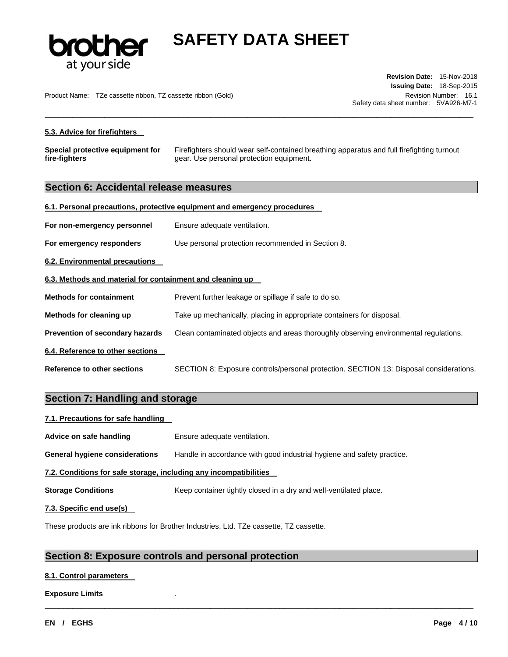

Product Name: TZe cassette ribbon, TZ cassette ribbon (Gold) Revision Number: 16.1

**Revision Date:** 15-Nov-2018 **Issuing Date:** 18-Sep-2015 Safety data sheet number: 5VA926-M7-1

## **5.3. Advice for firefighters**

**Special protective equipment for fire-fighters**  Firefighters should wear self-contained breathing apparatus and full firefighting turnout gear. Use personal protection equipment.

\_\_\_\_\_\_\_\_\_\_\_\_\_\_\_\_\_\_\_\_\_\_\_\_\_\_\_\_\_\_\_\_\_\_\_\_\_\_\_\_\_\_\_\_\_\_\_\_\_\_\_\_\_\_\_\_\_\_\_\_\_\_\_\_\_\_\_\_\_\_\_\_\_\_\_\_\_\_\_\_\_\_\_\_\_\_\_\_\_\_\_\_\_

## **Section 6: Accidental release measures**

| 6.1. Personal precautions, protective equipment and emergency procedures |                                                                                        |  |  |  |
|--------------------------------------------------------------------------|----------------------------------------------------------------------------------------|--|--|--|
| For non-emergency personnel                                              | Ensure adequate ventilation.                                                           |  |  |  |
| For emergency responders                                                 | Use personal protection recommended in Section 8.                                      |  |  |  |
| <b>6.2. Environmental precautions</b>                                    |                                                                                        |  |  |  |
| 6.3. Methods and material for containment and cleaning up                |                                                                                        |  |  |  |
| <b>Methods for containment</b>                                           | Prevent further leakage or spillage if safe to do so.                                  |  |  |  |
| Methods for cleaning up                                                  | Take up mechanically, placing in appropriate containers for disposal.                  |  |  |  |
| Prevention of secondary hazards                                          | Clean contaminated objects and areas thoroughly observing environmental regulations.   |  |  |  |
| 6.4. Reference to other sections                                         |                                                                                        |  |  |  |
| Reference to other sections                                              | SECTION 8: Exposure controls/personal protection. SECTION 13: Disposal considerations. |  |  |  |

## **Section 7: Handling and storage**

| 7.1. Precautions for safe handling                                |                                                                        |  |  |  |  |
|-------------------------------------------------------------------|------------------------------------------------------------------------|--|--|--|--|
| Advice on safe handling                                           | Ensure adequate ventilation.                                           |  |  |  |  |
| General hygiene considerations                                    | Handle in accordance with good industrial hygiene and safety practice. |  |  |  |  |
| 7.2. Conditions for safe storage, including any incompatibilities |                                                                        |  |  |  |  |
| <b>Storage Conditions</b>                                         | Keep container tightly closed in a dry and well-ventilated place.      |  |  |  |  |
| 7.3. Specific end use(s)                                          |                                                                        |  |  |  |  |

\_\_\_\_\_\_\_\_\_\_\_\_\_\_\_\_\_\_\_\_\_\_\_\_\_\_\_\_\_\_\_\_\_\_\_\_\_\_\_\_\_\_\_\_\_\_\_\_\_\_\_\_\_\_\_\_\_\_\_\_\_\_\_\_\_\_\_\_\_\_\_\_\_\_\_\_\_\_\_\_\_\_\_\_\_\_\_\_\_\_\_\_\_

These products are ink ribbons for Brother Industries, Ltd. TZe cassette, TZ cassette.

## **Section 8: Exposure controls and personal protection**

## **8.1. Control parameters**

### **Exposure Limits** .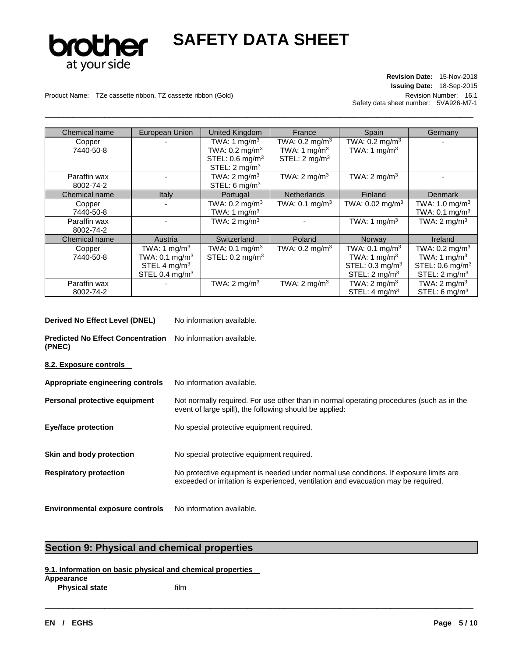

\_\_\_\_\_\_\_\_\_\_\_\_\_\_\_\_\_\_\_\_\_\_\_\_\_\_\_\_\_\_\_\_\_\_\_\_\_\_\_\_\_\_\_\_\_\_\_\_\_\_\_\_\_\_\_\_\_\_\_\_\_\_\_\_\_\_\_\_\_\_\_\_\_\_\_\_\_\_\_\_\_\_\_\_\_\_\_\_\_\_\_\_\_

## **Revision Date:** 15-Nov-2018 **Issuing Date:** 18-Sep-2015 Safety data sheet number: 5VA926-M7-1

Product Name: TZe cassette ribbon, TZ cassette ribbon (Gold) Revision Number: 16.1

| Chemical name | European Union               | United Kingdom               | France                    | Spain                        | Germany                       |
|---------------|------------------------------|------------------------------|---------------------------|------------------------------|-------------------------------|
| Copper        |                              | TWA: 1 mg/m <sup>3</sup>     | TWA: $0.2 \text{ mg/m}^3$ | TWA: $0.2$ mg/m <sup>3</sup> |                               |
| 7440-50-8     |                              | TWA: $0.2$ mg/m <sup>3</sup> | TWA: 1 mg/m <sup>3</sup>  | TWA: 1 $mg/m3$               |                               |
|               |                              | STEL: 0.6 mg/m <sup>3</sup>  | STEL: $2 \text{ mg/m}^3$  |                              |                               |
|               |                              | STEL: $2 \text{ mg/m}^3$     |                           |                              |                               |
| Paraffin wax  |                              | TWA: $2 \text{ mg/m}^3$      | TWA: 2 mg/m <sup>3</sup>  | TWA: $2 \text{ mg/m}^3$      |                               |
| 8002-74-2     |                              | STEL: 6 mg/m <sup>3</sup>    |                           |                              |                               |
| Chemical name | Italy                        | Portugal                     | <b>Netherlands</b>        | Finland                      | <b>Denmark</b>                |
| Copper        |                              | TWA: $0.2$ mg/m <sup>3</sup> | TWA: $0.1 \text{ mg/m}^3$ | TWA: $0.02 \text{ mg/m}^3$   | TWA: 1.0 mg/m <sup>3</sup>    |
| 7440-50-8     |                              | TWA: 1 $mg/m3$               |                           |                              | TWA: $0.1$ mg/m <sup>3</sup>  |
| Paraffin wax  |                              | TWA: $2 \text{ mg/m}^3$      |                           | TWA: 1 mg/m <sup>3</sup>     | TWA: $2 \text{ mg/m}^3$       |
| 8002-74-2     |                              |                              |                           |                              |                               |
| Chemical name | Austria                      | Switzerland                  | Poland                    | Norway                       | Ireland                       |
| Copper        | TWA: 1 mg/m <sup>3</sup>     | TWA: $0.1 \text{ mg/m}^3$    | TWA: $0.2 \text{ mg/m}^3$ | TWA: $0.1 \text{ mg/m}^3$    | TWA: $0.2 \text{ mg/m}^3$     |
| 7440-50-8     | TWA: $0.1$ mg/m <sup>3</sup> | STEL: 0.2 mg/m <sup>3</sup>  |                           | TWA: 1 $mg/m3$               | TWA: 1 $mg/m3$                |
|               | STEL 4 $mg/m3$               |                              |                           | STEL: $0.3 \text{ mg/m}^3$   | STEL: $0.6$ mg/m <sup>3</sup> |
|               | STEL 0.4 $mg/m3$             |                              |                           | STEL: $2 \text{ mg/m}^3$     | STEL: $2 \text{ mg/m}^3$      |
| Paraffin wax  |                              | TWA: $2 \text{ mg/m}^3$      | TWA: $2 \text{ mg/m}^3$   | TWA: $2 \text{ mg/m}^3$      | TWA: $2 \text{ mg/m}^3$       |
| 8002-74-2     |                              |                              |                           | STEL: $4 \text{ mg/m}^3$     | STEL: 6 $mg/m3$               |

| Derived No Effect Level (DNEL) | No information available. |
|--------------------------------|---------------------------|
|--------------------------------|---------------------------|

**Predicted No Effect Concentration**  No information available. **(PNEC)** 

**8.2. Exposure controls** 

- Appropriate engineering controls No information available.
- **Personal protective equipment** Not normally required. For use other than in normal operating procedures (such as in the event of large spill), the following should be applied:

**Eye/face protection** No special protective equipment required.

**Skin and body protection** No special protective equipment required.

**Respiratory protection** No protective equipment is needed under normal use conditions. If exposure limits are exceeded or irritation is experienced, ventilation and evacuation may be required.

\_\_\_\_\_\_\_\_\_\_\_\_\_\_\_\_\_\_\_\_\_\_\_\_\_\_\_\_\_\_\_\_\_\_\_\_\_\_\_\_\_\_\_\_\_\_\_\_\_\_\_\_\_\_\_\_\_\_\_\_\_\_\_\_\_\_\_\_\_\_\_\_\_\_\_\_\_\_\_\_\_\_\_\_\_\_\_\_\_\_\_\_\_

**Environmental exposure controls** No information available.

## **Section 9: Physical and chemical properties**

### **9.1. Information on basic physical and chemical properties**

**Appearance** 

**Physical state** film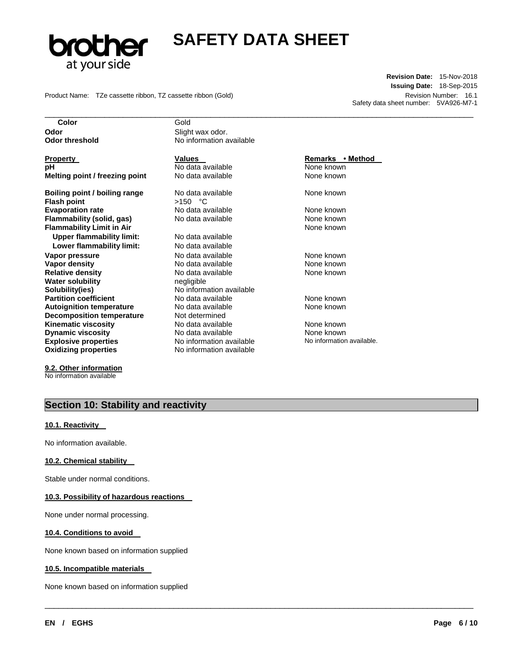

\_\_\_\_\_\_\_\_\_\_\_\_\_\_\_\_\_\_\_\_\_\_\_\_\_\_\_\_\_\_\_\_\_\_\_\_\_\_\_\_\_\_\_\_\_\_\_\_\_\_\_\_\_\_\_\_\_\_\_\_\_\_\_\_\_\_\_\_\_\_\_\_\_\_\_\_\_\_\_\_\_\_\_\_\_\_\_\_\_\_\_\_\_

\_\_\_\_\_\_\_\_\_\_\_\_\_\_\_\_\_\_\_\_\_\_\_\_\_\_\_\_\_\_\_\_\_\_\_\_\_\_\_\_\_\_\_\_\_\_\_\_\_\_\_\_\_\_\_\_\_\_\_\_\_\_\_\_\_\_\_\_\_\_\_\_\_\_\_\_\_\_\_\_\_\_\_\_\_\_\_\_\_\_\_\_\_

Product Name: TZe cassette ribbon, TZ cassette ribbon (Gold) **Revision Number: 16.1** Revision Number: 16.1

**Revision Date:** 15-Nov-2018 **Issuing Date:** 18-Sep-2015 Safety data sheet number: 5VA926-M7-1

**Color** Gold **Odor Contract Slight wax odor.** 

**Property Construction Construction Values Construction Construction Remarks • Method pH Notata available Note known None known Melting point / freezing point** No data available None known

**Boiling point / boiling range** No data available **None known** None known **Flash point** >150 °C **Evaporation rate 1992 CONE And ST No data available None known None known Flammability (solid, gas)** No data available None known None known **Flammability Limit in Air** None known **None known Upper flammability limit:** No data available Lower flammability limit: No data available **Vapor pressure No data available None known Vapor density Notata available None known Relative density 19th Cone Accord Available 19th Cone Accord Available None known Water solubility negligible Solubility(ies)** No information available **Partition coefficient No data available None known**<br> **Autoignition temperature No data available None known** Autoignition temperature **No data available** Mone known **Decomposition temperature** Not determined **Kinematic viscosity** No data available None known **Dynamic viscosity**<br> **Explosive properties**<br>
No information available None information available No information available. **Explosive properties No information available Oxidizing properties** No information available

**Odor threshold** No information available

**9.2. Other information** No information available

## **Section 10: Stability and reactivity**

## **10.1. Reactivity**

No information available.

## **10.2. Chemical stability**

Stable under normal conditions.

## **10.3. Possibility of hazardous reactions**

None under normal processing.

## **10.4. Conditions to avoid**

None known based on information supplied

### **10.5. Incompatible materials**

None known based on information supplied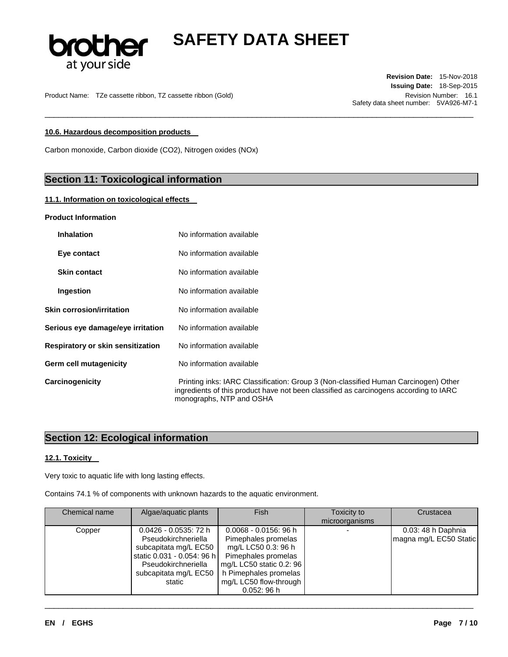

\_\_\_\_\_\_\_\_\_\_\_\_\_\_\_\_\_\_\_\_\_\_\_\_\_\_\_\_\_\_\_\_\_\_\_\_\_\_\_\_\_\_\_\_\_\_\_\_\_\_\_\_\_\_\_\_\_\_\_\_\_\_\_\_\_\_\_\_\_\_\_\_\_\_\_\_\_\_\_\_\_\_\_\_\_\_\_\_\_\_\_\_\_

Product Name: TZe cassette ribbon, TZ cassette ribbon (Gold) Revision Number: 16.1

**Revision Date:** 15-Nov-2018 **Issuing Date:** 18-Sep-2015 Safety data sheet number: 5VA926-M7-1

## **10.6. Hazardous decomposition products**

Carbon monoxide, Carbon dioxide (CO2), Nitrogen oxides (NOx)

## **Section 11: Toxicological information**

### **11.1. Information on toxicological effects**

### **Product Information**

| <b>Inhalation</b>                 | No information available                                                                                                                                                                                 |
|-----------------------------------|----------------------------------------------------------------------------------------------------------------------------------------------------------------------------------------------------------|
| Eye contact                       | No information available                                                                                                                                                                                 |
| <b>Skin contact</b>               | No information available                                                                                                                                                                                 |
| Ingestion                         | No information available                                                                                                                                                                                 |
| <b>Skin corrosion/irritation</b>  | No information available                                                                                                                                                                                 |
| Serious eye damage/eye irritation | No information available                                                                                                                                                                                 |
| Respiratory or skin sensitization | No information available                                                                                                                                                                                 |
| Germ cell mutagenicity            | No information available                                                                                                                                                                                 |
| Carcinogenicity                   | Printing inks: IARC Classification: Group 3 (Non-classified Human Carcinogen) Other<br>ingredients of this product have not been classified as carcinogens according to IARC<br>monographs, NTP and OSHA |

## **Section 12: Ecological information**

### **12.1. Toxicity**

Very toxic to aquatic life with long lasting effects.

|  | Contains 74.1 % of components with unknown hazards to the aquatic environment. |  |  |  |  |  |
|--|--------------------------------------------------------------------------------|--|--|--|--|--|
|--|--------------------------------------------------------------------------------|--|--|--|--|--|

| Chemical name | Algae/aquatic plants                                                                                                                                             | <b>Fish</b>                                                                                                                                                                               | Toxicity to<br>microorganisms | Crustacea                                    |
|---------------|------------------------------------------------------------------------------------------------------------------------------------------------------------------|-------------------------------------------------------------------------------------------------------------------------------------------------------------------------------------------|-------------------------------|----------------------------------------------|
| Copper        | $0.0426 - 0.0535$ : 72 h<br>Pseudokirchneriella<br>subcapitata mg/L EC50<br>static 0.031 - 0.054: 96 h<br>Pseudokirchneriella<br>subcapitata mg/L EC50<br>static | $0.0068 - 0.0156$ : 96 h<br>Pimephales promelas<br>mg/L LC50 0.3: 96 h<br>Pimephales promelas<br>mg/L LC50 static 0.2: 96<br>h Pimephales promelas<br>mg/L LC50 flow-through<br>0.052:96h |                               | 0.03: 48 h Daphnia<br>magna mg/L EC50 Static |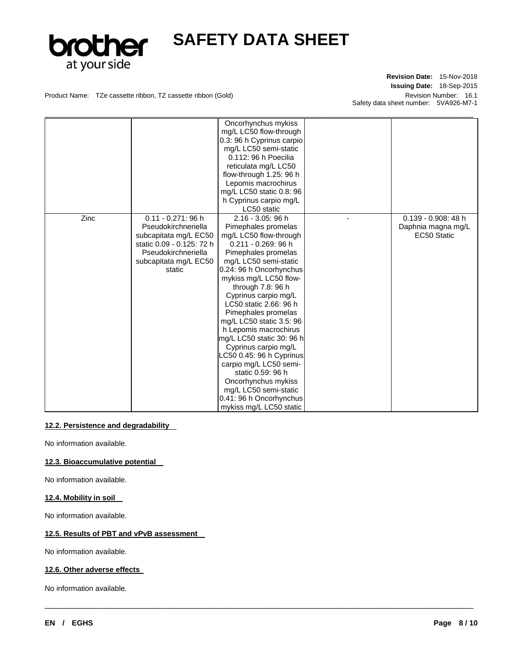

## **Revision Date:** 15-Nov-2018 **Issuing Date:** 18-Sep-2015 Safety data sheet number: 5VA926-M7-1

Product Name: TZe cassette ribbon, TZ cassette ribbon (Gold) Revision Number: 16.1

|      |                           | Oncorhynchus mykiss       |                        |
|------|---------------------------|---------------------------|------------------------|
|      |                           | mg/L LC50 flow-through    |                        |
|      |                           | 0.3: 96 h Cyprinus carpio |                        |
|      |                           | mg/L LC50 semi-static     |                        |
|      |                           | 0.112: 96 h Poecilia      |                        |
|      |                           | reticulata mg/L LC50      |                        |
|      |                           | flow-through 1.25: 96 h   |                        |
|      |                           | Lepomis macrochirus       |                        |
|      |                           | mg/L LC50 static 0.8: 96  |                        |
|      |                           | h Cyprinus carpio mg/L    |                        |
|      |                           | LC50 static               |                        |
| Zinc | $0.11 - 0.271$ : 96 h     | $2.16 - 3.05$ : 96 h      | $0.139 - 0.908$ : 48 h |
|      | Pseudokirchneriella       | Pimephales promelas       | Daphnia magna mg/L     |
|      | subcapitata mg/L EC50     | mg/L LC50 flow-through    | EC50 Static            |
|      | static 0.09 - 0.125: 72 h | 0.211 - 0.269: 96 h       |                        |
|      | Pseudokirchneriella       | Pimephales promelas       |                        |
|      | subcapitata mg/L EC50     | mg/L LC50 semi-static     |                        |
|      | static                    | 0.24: 96 h Oncorhynchus   |                        |
|      |                           | mykiss mg/L LC50 flow-    |                        |
|      |                           | through 7.8: 96 h         |                        |
|      |                           | Cyprinus carpio mg/L      |                        |
|      |                           | LC50 static 2.66: 96 h    |                        |
|      |                           | Pimephales promelas       |                        |
|      |                           | mg/L LC50 static 3.5: 96  |                        |
|      |                           | h Lepomis macrochirus     |                        |
|      |                           | mg/L LC50 static 30: 96 h |                        |
|      |                           | Cyprinus carpio mg/L      |                        |
|      |                           | LC50 0.45: 96 h Cyprinus  |                        |
|      |                           | carpio mg/L LC50 semi-    |                        |
|      |                           | static 0.59: 96 h         |                        |
|      |                           | Oncorhynchus mykiss       |                        |
|      |                           | mg/L LC50 semi-static     |                        |
|      |                           | 0.41: 96 h Oncorhynchus   |                        |
|      |                           | mykiss mg/L LC50 static   |                        |

\_\_\_\_\_\_\_\_\_\_\_\_\_\_\_\_\_\_\_\_\_\_\_\_\_\_\_\_\_\_\_\_\_\_\_\_\_\_\_\_\_\_\_\_\_\_\_\_\_\_\_\_\_\_\_\_\_\_\_\_\_\_\_\_\_\_\_\_\_\_\_\_\_\_\_\_\_\_\_\_\_\_\_\_\_\_\_\_\_\_\_\_\_

### **12.2. Persistence and degradability**

No information available.

## **12.3. Bioaccumulative potential**

No information available.

### **12.4. Mobility in soil**

No information available.

## **12.5. Results of PBT and vPvB assessment**

No information available.

### **12.6. Other adverse effects**

No information available.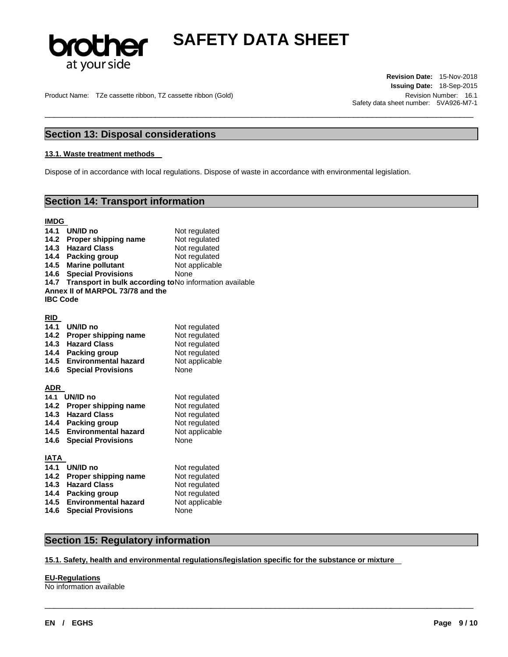

\_\_\_\_\_\_\_\_\_\_\_\_\_\_\_\_\_\_\_\_\_\_\_\_\_\_\_\_\_\_\_\_\_\_\_\_\_\_\_\_\_\_\_\_\_\_\_\_\_\_\_\_\_\_\_\_\_\_\_\_\_\_\_\_\_\_\_\_\_\_\_\_\_\_\_\_\_\_\_\_\_\_\_\_\_\_\_\_\_\_\_\_\_

Product Name: TZe cassette ribbon, TZ cassette ribbon (Gold) Revision Number: 16.1

**Revision Date:** 15-Nov-2018 **Issuing Date:** 18-Sep-2015 Safety data sheet number: 5VA926-M7-1

## **Section 13: Disposal considerations**

#### **13.1. Waste treatment methods**

Dispose of in accordance with local regulations. Dispose of waste in accordance with environmental legislation.

## **Section 14: Transport information**

#### **IMDG**

|                 | 14.1 UN/ID no                    | Not regulated                                                |
|-----------------|----------------------------------|--------------------------------------------------------------|
|                 | 14.2 Proper shipping name        | Not regulated                                                |
|                 | 14.3 Hazard Class                | Not regulated                                                |
|                 | 14.4 Packing group               | Not regulated                                                |
|                 | 14.5 Marine pollutant            | Not applicable                                               |
|                 | <b>14.6 Special Provisions</b>   | None                                                         |
|                 |                                  | 14.7 Transport in bulk according to No information available |
|                 | Annex II of MARPOL 73/78 and the |                                                              |
| <b>IBC Code</b> |                                  |                                                              |
|                 |                                  |                                                              |

#### **RID**

| 14.1<br>14.2<br>14.3<br>14.4<br>14.5<br>14.6 | UN/ID no<br>Proper shipping name<br><b>Hazard Class</b><br>Packing group<br><b>Environmental hazard</b><br><b>Special Provisions</b> | Not regulated<br>Not regulated<br>Not regulated<br>Not regulated<br>Not applicable<br>None |
|----------------------------------------------|--------------------------------------------------------------------------------------------------------------------------------------|--------------------------------------------------------------------------------------------|
| <b>ADR</b>                                   |                                                                                                                                      |                                                                                            |
| 14.1                                         | UN/ID no                                                                                                                             | Not regulated                                                                              |
| 14.2                                         | Proper shipping name                                                                                                                 | Not regulated                                                                              |
| 14.3                                         | <b>Hazard Class</b>                                                                                                                  | Not regulated                                                                              |
| 14.4                                         | Packing group                                                                                                                        | Not regulated                                                                              |
| 14.5                                         | <b>Environmental hazard</b>                                                                                                          | Not applicable                                                                             |
| 14.6                                         | <b>Special Provisions</b>                                                                                                            | None                                                                                       |
| IATA                                         |                                                                                                                                      |                                                                                            |
| 14.1                                         | UN/ID no                                                                                                                             | Not regulated                                                                              |
| 14.2                                         | Proper shipping name                                                                                                                 | Not regulated                                                                              |
| 14.3                                         | <b>Hazard Class</b>                                                                                                                  | Not regulated                                                                              |
| 14.4                                         | Packing group                                                                                                                        | Not regulated                                                                              |
| 14.5                                         | <b>Environmental hazard</b>                                                                                                          | Not applicable                                                                             |
| 14.6                                         | <b>Special Provisions</b>                                                                                                            | None                                                                                       |

## **Section 15: Regulatory information**

### **15.1. Safety, health and environmental regulations/legislation specific for the substance or mixture**

\_\_\_\_\_\_\_\_\_\_\_\_\_\_\_\_\_\_\_\_\_\_\_\_\_\_\_\_\_\_\_\_\_\_\_\_\_\_\_\_\_\_\_\_\_\_\_\_\_\_\_\_\_\_\_\_\_\_\_\_\_\_\_\_\_\_\_\_\_\_\_\_\_\_\_\_\_\_\_\_\_\_\_\_\_\_\_\_\_\_\_\_\_

## **EU-Regulations**

No information available